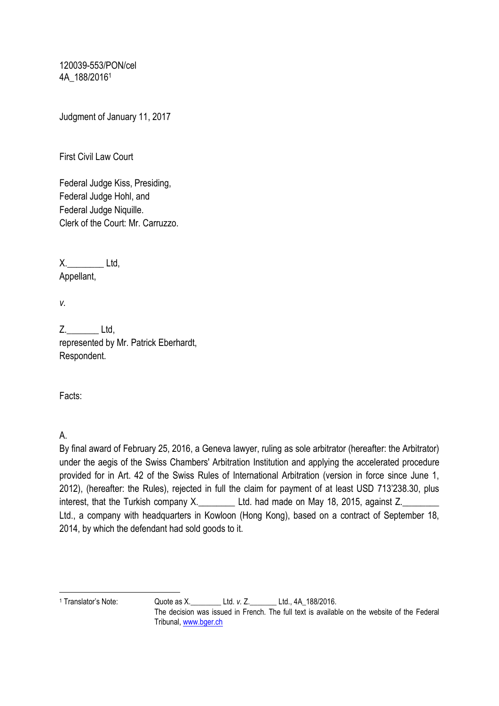120039-553/PON/cel 4A\_188/2016<sup>1</sup>

Judgment of January 11, 2017

First Civil Law Court

Federal Judge Kiss, Presiding, Federal Judge Hohl, and Federal Judge Niquille. Clerk of the Court: Mr. Carruzzo.

X. Ltd, Appellant,

*v.*

Z. Ltd. represented by Mr. Patrick Eberhardt, Respondent.

Facts:

A.

By final award of February 25, 2016, a Geneva lawyer, ruling as sole arbitrator (hereafter: the Arbitrator) under the aegis of the Swiss Chambers' Arbitration Institution and applying the accelerated procedure provided for in Art. 42 of the Swiss Rules of International Arbitration (version in force since June 1, 2012), (hereafter: the Rules), rejected in full the claim for payment of at least USD 713'238.30, plus interest, that the Turkish company X. Ltd. had made on May 18, 2015, against Z. Ltd., a company with headquarters in Kowloon (Hong Kong), based on a contract of September 18, 2014, by which the defendant had sold goods to it.

 $\overline{\phantom{a}}$ 

<sup>1</sup> Translator's Note: Quote as X.\_\_\_\_\_\_\_\_ Ltd. *v.* Z.\_\_\_\_\_\_\_ Ltd., 4A\_188/2016.

The decision was issued in French. The full text is available on the website of the Federal Tribunal[, www.bger.ch](http://www.bger.ch/)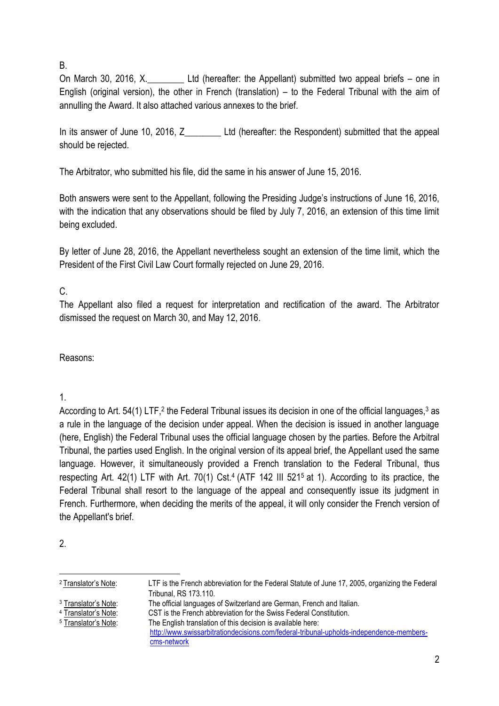## B.

On March 30, 2016, X. Ltd (hereafter: the Appellant) submitted two appeal briefs – one in English (original version), the other in French (translation) – to the Federal Tribunal with the aim of annulling the Award. It also attached various annexes to the brief.

In its answer of June 10, 2016, Z Ltd (hereafter: the Respondent) submitted that the appeal should be rejected.

The Arbitrator, who submitted his file, did the same in his answer of June 15, 2016.

Both answers were sent to the Appellant, following the Presiding Judge's instructions of June 16, 2016, with the indication that any observations should be filed by July 7, 2016, an extension of this time limit being excluded.

By letter of June 28, 2016, the Appellant nevertheless sought an extension of the time limit, which the President of the First Civil Law Court formally rejected on June 29, 2016.

# C.

The Appellant also filed a request for interpretation and rectification of the award. The Arbitrator dismissed the request on March 30, and May 12, 2016.

Reasons:

## 1.

According to Art. 54(1) LTF,<sup>2</sup> the Federal Tribunal issues its decision in one of the official languages,<sup>3</sup> as a rule in the language of the decision under appeal. When the decision is issued in another language (here, English) the Federal Tribunal uses the official language chosen by the parties. Before the Arbitral Tribunal, the parties used English. In the original version of its appeal brief, the Appellant used the same language. However, it simultaneously provided a French translation to the Federal Tribunal, thus respecting Art. 42(1) LTF with Art. 70(1) Cst.<sup>4</sup> (ATF 142 III 521<sup>5</sup> at 1). According to its practice, the Federal Tribunal shall resort to the language of the appeal and consequently issue its judgment in French. Furthermore, when deciding the merits of the appeal, it will only consider the French version of the Appellant's brief.

2.

| <sup>2</sup> Translator's Note: | LTF is the French abbreviation for the Federal Statute of June 17, 2005, organizing the Federal |
|---------------------------------|-------------------------------------------------------------------------------------------------|
|                                 |                                                                                                 |
|                                 | Tribunal, RS 173.110.                                                                           |
| <sup>3</sup> Translator's Note: | The official languages of Switzerland are German, French and Italian.                           |
| <sup>4</sup> Translator's Note: | CST is the French abbreviation for the Swiss Federal Constitution.                              |
| <sup>5</sup> Translator's Note: | The English translation of this decision is available here:                                     |
|                                 | http://www.swissarbitrationdecisions.com/federal-tribunal-upholds-independence-members-         |
|                                 | cms-network                                                                                     |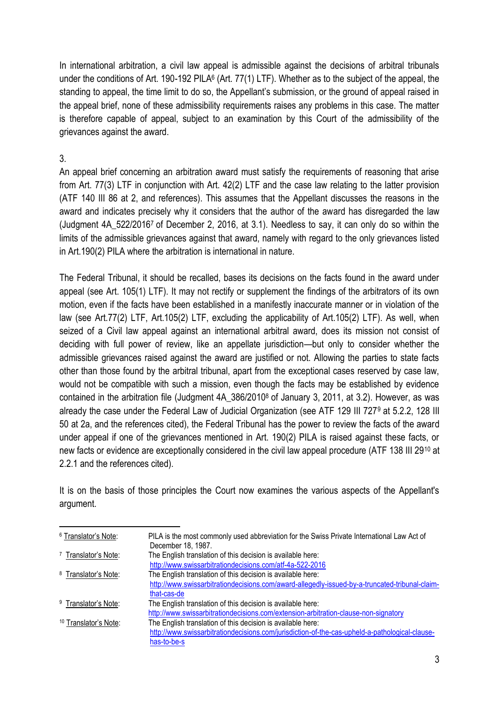In international arbitration, a civil law appeal is admissible against the decisions of arbitral tribunals under the conditions of Art. 190-192 PILA<sup>6</sup> (Art. 77(1) LTF). Whether as to the subject of the appeal, the standing to appeal, the time limit to do so, the Appellant's submission, or the ground of appeal raised in the appeal brief, none of these admissibility requirements raises any problems in this case. The matter is therefore capable of appeal, subject to an examination by this Court of the admissibility of the grievances against the award.

## 3.

An appeal brief concerning an arbitration award must satisfy the requirements of reasoning that arise from Art. 77(3) LTF in conjunction with Art. 42(2) LTF and the case law relating to the latter provision (ATF 140 III 86 at 2, and references). This assumes that the Appellant discusses the reasons in the award and indicates precisely why it considers that the author of the award has disregarded the law (Judgment 4A\_522/2016<sup>7</sup> of December 2, 2016, at 3.1). Needless to say, it can only do so within the limits of the admissible grievances against that award, namely with regard to the only grievances listed in Art.190(2) PILA where the arbitration is international in nature.

The Federal Tribunal, it should be recalled, bases its decisions on the facts found in the award under appeal (see Art. 105(1) LTF). It may not rectify or supplement the findings of the arbitrators of its own motion, even if the facts have been established in a manifestly inaccurate manner or in violation of the law (see Art.77(2) LTF, Art.105(2) LTF, excluding the applicability of Art.105(2) LTF). As well, when seized of a Civil law appeal against an international arbitral award, does its mission not consist of deciding with full power of review, like an appellate jurisdiction—but only to consider whether the admissible grievances raised against the award are justified or not. Allowing the parties to state facts other than those found by the arbitral tribunal, apart from the exceptional cases reserved by case law, would not be compatible with such a mission, even though the facts may be established by evidence contained in the arbitration file (Judgment 4A\_386/2010<sup>8</sup> of January 3, 2011, at 3.2). However, as was already the case under the Federal Law of Judicial Organization (see ATF 129 III 727<sup>9</sup> at 5.2.2, 128 III 50 at 2a, and the references cited), the Federal Tribunal has the power to review the facts of the award under appeal if one of the grievances mentioned in Art. 190(2) PILA is raised against these facts, or new facts or evidence are exceptionally considered in the civil law appeal procedure (ATF 138 III 29<sup>10</sup> at 2.2.1 and the references cited).

It is on the basis of those principles the Court now examines the various aspects of the Appellant's argument.

| <sup>6</sup> Translator's Note:  | PILA is the most commonly used abbreviation for the Swiss Private International Law Act of     |
|----------------------------------|------------------------------------------------------------------------------------------------|
|                                  | December 18, 1987.                                                                             |
| <sup>7</sup> Translator's Note:  | The English translation of this decision is available here:                                    |
|                                  | http://www.swissarbitrationdecisions.com/atf-4a-522-2016                                       |
| <sup>8</sup> Translator's Note:  | The English translation of this decision is available here:                                    |
|                                  | http://www.swissarbitrationdecisions.com/award-allegedly-issued-by-a-truncated-tribunal-claim- |
|                                  | that-cas-de                                                                                    |
| <sup>9</sup> Translator's Note:  | The English translation of this decision is available here:                                    |
|                                  | http://www.swissarbitrationdecisions.com/extension-arbitration-clause-non-signatory            |
| <sup>10</sup> Translator's Note: | The English translation of this decision is available here:                                    |
|                                  | http://www.swissarbitrationdecisions.com/jurisdiction-of-the-cas-upheld-a-pathological-clause- |
|                                  | has-to-be-s                                                                                    |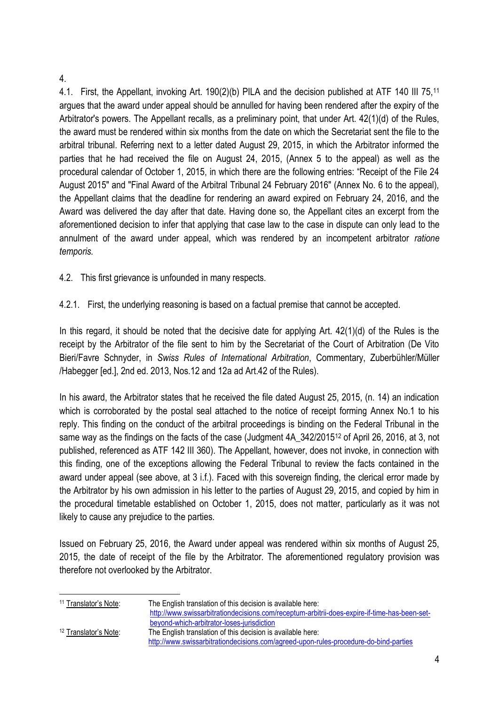#### 4.

4.1. First, the Appellant, invoking Art. 190(2)(b) PILA and the decision published at ATF 140 III 75.<sup>11</sup> argues that the award under appeal should be annulled for having been rendered after the expiry of the Arbitrator's powers. The Appellant recalls, as a preliminary point, that under Art. 42(1)(d) of the Rules, the award must be rendered within six months from the date on which the Secretariat sent the file to the arbitral tribunal. Referring next to a letter dated August 29, 2015, in which the Arbitrator informed the parties that he had received the file on August 24, 2015, (Annex 5 to the appeal) as well as the procedural calendar of October 1, 2015, in which there are the following entries: "Receipt of the File 24 August 2015" and "Final Award of the Arbitral Tribunal 24 February 2016" (Annex No. 6 to the appeal), the Appellant claims that the deadline for rendering an award expired on February 24, 2016, and the Award was delivered the day after that date. Having done so, the Appellant cites an excerpt from the aforementioned decision to infer that applying that case law to the case in dispute can only lead to the annulment of the award under appeal, which was rendered by an incompetent arbitrator *ratione temporis.* 

4.2. This first grievance is unfounded in many respects.

4.2.1. First, the underlying reasoning is based on a factual premise that cannot be accepted.

In this regard, it should be noted that the decisive date for applying Art. 42(1)(d) of the Rules is the receipt by the Arbitrator of the file sent to him by the Secretariat of the Court of Arbitration (De Vito Bieri/Favre Schnyder, in *Swiss Rules of International Arbitration*, Commentary, Zuberbühler/Müller /Habegger [ed.], 2nd ed. 2013, Nos.12 and 12a ad Art.42 of the Rules).

In his award, the Arbitrator states that he received the file dated August 25, 2015, (n. 14) an indication which is corroborated by the postal seal attached to the notice of receipt forming Annex No.1 to his reply. This finding on the conduct of the arbitral proceedings is binding on the Federal Tribunal in the same way as the findings on the facts of the case (Judgment 4A 342/2015<sup>12</sup> of April 26, 2016, at 3, not published, referenced as ATF 142 III 360). The Appellant, however, does not invoke, in connection with this finding, one of the exceptions allowing the Federal Tribunal to review the facts contained in the award under appeal (see above, at 3 i.f.). Faced with this sovereign finding, the clerical error made by the Arbitrator by his own admission in his letter to the parties of August 29, 2015, and copied by him in the procedural timetable established on October 1, 2015, does not matter, particularly as it was not likely to cause any prejudice to the parties.

Issued on February 25, 2016, the Award under appeal was rendered within six months of August 25, 2015, the date of receipt of the file by the Arbitrator. The aforementioned regulatory provision was therefore not overlooked by the Arbitrator.

| <sup>11</sup> Translator's Note: | The English translation of this decision is available here:                                  |
|----------------------------------|----------------------------------------------------------------------------------------------|
|                                  | http://www.swissarbitrationdecisions.com/receptum-arbitrii-does-expire-if-time-has-been-set- |
|                                  | beyond-which-arbitrator-loses-jurisdiction                                                   |
| <sup>12</sup> Translator's Note: | The English translation of this decision is available here:                                  |
|                                  | http://www.swissarbitrationdecisions.com/agreed-upon-rules-procedure-do-bind-parties         |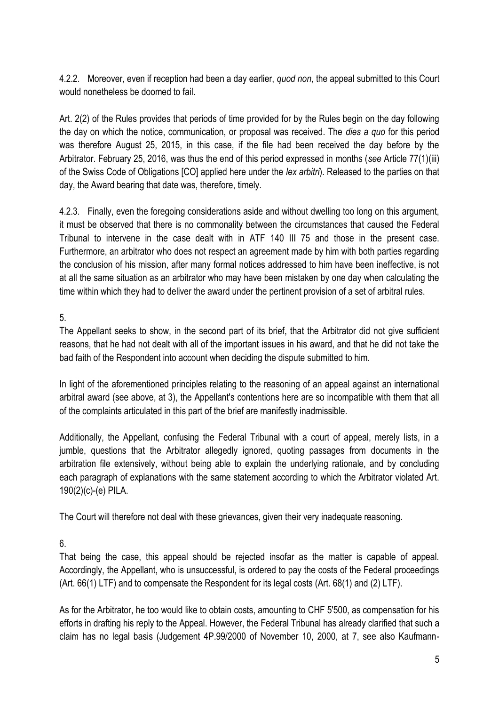4.2.2. Moreover, even if reception had been a day earlier, *quod non*, the appeal submitted to this Court would nonetheless be doomed to fail.

Art. 2(2) of the Rules provides that periods of time provided for by the Rules begin on the day following the day on which the notice, communication, or proposal was received. The *dies a quo* for this period was therefore August 25, 2015, in this case, if the file had been received the day before by the Arbitrator. February 25, 2016, was thus the end of this period expressed in months (*see* Article 77(1)(iii) of the Swiss Code of Obligations [CO] applied here under the *lex arbitri*). Released to the parties on that day, the Award bearing that date was, therefore, timely.

4.2.3. Finally, even the foregoing considerations aside and without dwelling too long on this argument, it must be observed that there is no commonality between the circumstances that caused the Federal Tribunal to intervene in the case dealt with in ATF 140 III 75 and those in the present case. Furthermore, an arbitrator who does not respect an agreement made by him with both parties regarding the conclusion of his mission, after many formal notices addressed to him have been ineffective, is not at all the same situation as an arbitrator who may have been mistaken by one day when calculating the time within which they had to deliver the award under the pertinent provision of a set of arbitral rules.

5.

The Appellant seeks to show, in the second part of its brief, that the Arbitrator did not give sufficient reasons, that he had not dealt with all of the important issues in his award, and that he did not take the bad faith of the Respondent into account when deciding the dispute submitted to him.

In light of the aforementioned principles relating to the reasoning of an appeal against an international arbitral award (see above, at 3), the Appellant's contentions here are so incompatible with them that all of the complaints articulated in this part of the brief are manifestly inadmissible.

Additionally, the Appellant, confusing the Federal Tribunal with a court of appeal, merely lists, in a jumble, questions that the Arbitrator allegedly ignored, quoting passages from documents in the arbitration file extensively, without being able to explain the underlying rationale, and by concluding each paragraph of explanations with the same statement according to which the Arbitrator violated Art. 190(2)(c)-(e) PILA.

The Court will therefore not deal with these grievances, given their very inadequate reasoning.

6.

That being the case, this appeal should be rejected insofar as the matter is capable of appeal. Accordingly, the Appellant, who is unsuccessful, is ordered to pay the costs of the Federal proceedings (Art. 66(1) LTF) and to compensate the Respondent for its legal costs (Art. 68(1) and (2) LTF).

As for the Arbitrator, he too would like to obtain costs, amounting to CHF 5'500, as compensation for his efforts in drafting his reply to the Appeal. However, the Federal Tribunal has already clarified that such a claim has no legal basis (Judgement 4P.99/2000 of November 10, 2000, at 7, see also Kaufmann